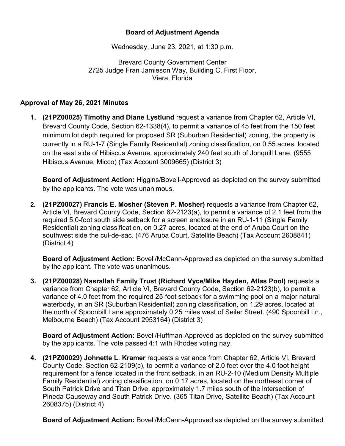## **Board of Adjustment Agenda**

Wednesday, June 23, 2021, at 1:30 p.m.

Brevard County Government Center 2725 Judge Fran Jamieson Way, Building C, First Floor, Viera, Florida

## **Approval of May 26, 2021 Minutes**

**1. (21PZ00025) Timothy and Diane Lystlund** request a variance from Chapter 62, Article VI, Brevard County Code, Section 62-1338(4), to permit a variance of 45 feet from the 150 feet minimum lot depth required for proposed SR (Suburban Residential) zoning, the property is currently in a RU-1-7 (Single Family Residential) zoning classification, on 0.55 acres, located on the east side of Hibiscus Avenue, approximately 240 feet south of Jonquill Lane. (9555 Hibiscus Avenue, Micco) (Tax Account 3009665) (District 3)

**Board of Adjustment Action:** Higgins/Bovell-Approved as depicted on the survey submitted by the applicants. The vote was unanimous.

**2. (21PZ00027) Francis E. Mosher (Steven P. Mosher)** requests a variance from Chapter 62, Article VI, Brevard County Code, Section 62-2123(a), to permit a variance of 2.1 feet from the required 5.0-foot south side setback for a screen enclosure in an RU-1-11 (Single Family Residential) zoning classification, on 0.27 acres, located at the end of Aruba Court on the southwest side the cul-de-sac. (476 Aruba Court, Satellite Beach) (Tax Account 2608841) (District 4)

**Board of Adjustment Action:** Bovell/McCann-Approved as depicted on the survey submitted by the applicant. The vote was unanimous.

**3. (21PZ00028) Nasrallah Family Trust (Richard Vyce/Mike Hayden, Atlas Pool)** requests a variance from Chapter 62, Article VI, Brevard County Code, Section 62-2123(b), to permit a variance of 4.0 feet from the required 25-foot setback for a swimming pool on a major natural waterbody, in an SR (Suburban Residential) zoning classification, on 1.29 acres, located at the north of Spoonbill Lane approximately 0.25 miles west of Seiler Street. (490 Spoonbill Ln., Melbourne Beach) (Tax Account 2953164) (District 3)

**Board of Adjustment Action:** Bovell/Huffman-Approved as depicted on the survey submitted by the applicants. The vote passed 4:1 with Rhodes voting nay.

**4. (21PZ00029) Johnette L**. **Kramer** requests a variance from Chapter 62, Article VI, Brevard County Code, Section 62-2109(c), to permit a variance of 2.0 feet over the 4.0 foot height requirement for a fence located in the front setback, in an RU-2-10 (Medium Density Multiple Family Residential) zoning classification, on 0.17 acres, located on the northeast corner of South Patrick Drive and Titan Drive, approximately 1.7 miles south of the intersection of Pineda Causeway and South Patrick Drive. (365 Titan Drive, Satellite Beach) (Tax Account 2608375) (District 4)

**Board of Adjustment Action:** Bovell/McCann-Approved as depicted on the survey submitted